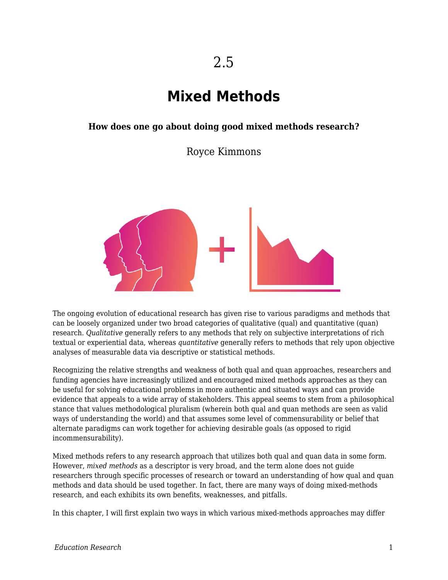# **Mixed Methods**

#### **How does one go about doing good mixed methods research?**

Royce Kimmons



The ongoing evolution of educational research has given rise to various paradigms and methods that can be loosely organized under two broad categories of qualitative (qual) and quantitative (quan) research. *Qualitative* generally refers to any methods that rely on subjective interpretations of rich textual or experiential data, whereas *quantitative* generally refers to methods that rely upon objective analyses of measurable data via descriptive or statistical methods.

Recognizing the relative strengths and weakness of both qual and quan approaches, researchers and funding agencies have increasingly utilized and encouraged mixed methods approaches as they can be useful for solving educational problems in more authentic and situated ways and can provide evidence that appeals to a wide array of stakeholders. This appeal seems to stem from a philosophical stance that values methodological pluralism (wherein both qual and quan methods are seen as valid ways of understanding the world) and that assumes some level of commensurability or belief that alternate paradigms can work together for achieving desirable goals (as opposed to rigid incommensurability).

Mixed methods refers to any research approach that utilizes both qual and quan data in some form. However, *mixed methods* as a descriptor is very broad, and the term alone does not guide researchers through specific processes of research or toward an understanding of how qual and quan methods and data should be used together. In fact, there are many ways of doing mixed-methods research, and each exhibits its own benefits, weaknesses, and pitfalls.

In this chapter, I will first explain two ways in which various mixed-methods approaches may differ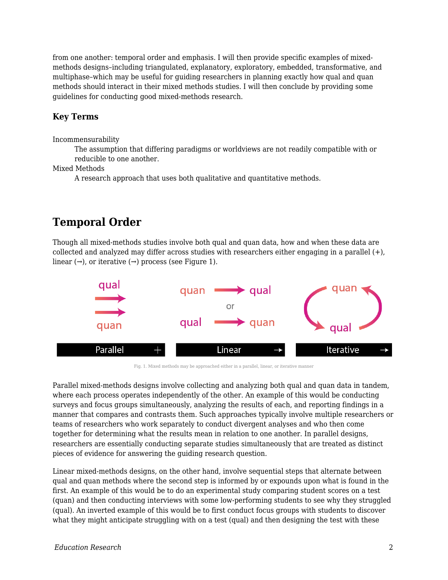from one another: temporal order and emphasis. I will then provide specific examples of mixedmethods designs–including triangulated, explanatory, exploratory, embedded, transformative, and multiphase–which may be useful for guiding researchers in planning exactly how qual and quan methods should interact in their mixed methods studies. I will then conclude by providing some guidelines for conducting good mixed-methods research.

#### **Key Terms**

Incommensurability

The assumption that differing paradigms or worldviews are not readily compatible with or reducible to one another.

Mixed Methods

A research approach that uses both qualitative and quantitative methods.

## **Temporal Order**

Though all mixed-methods studies involve both qual and quan data, how and when these data are collected and analyzed may differ across studies with researchers either engaging in a parallel (+), linear  $(\rightarrow)$ , or iterative  $(\rightarrow)$  process (see Figure 1).



Fig. 1. Mixed methods may be approached either in a parallel, linear, or iterative manner

Parallel mixed-methods designs involve collecting and analyzing both qual and quan data in tandem, where each process operates independently of the other. An example of this would be conducting surveys and focus groups simultaneously, analyzing the results of each, and reporting findings in a manner that compares and contrasts them. Such approaches typically involve multiple researchers or teams of researchers who work separately to conduct divergent analyses and who then come together for determining what the results mean in relation to one another. In parallel designs, researchers are essentially conducting separate studies simultaneously that are treated as distinct pieces of evidence for answering the guiding research question.

Linear mixed-methods designs, on the other hand, involve sequential steps that alternate between qual and quan methods where the second step is informed by or expounds upon what is found in the first. An example of this would be to do an experimental study comparing student scores on a test (quan) and then conducting interviews with some low-performing students to see why they struggled (qual). An inverted example of this would be to first conduct focus groups with students to discover what they might anticipate struggling with on a test (qual) and then designing the test with these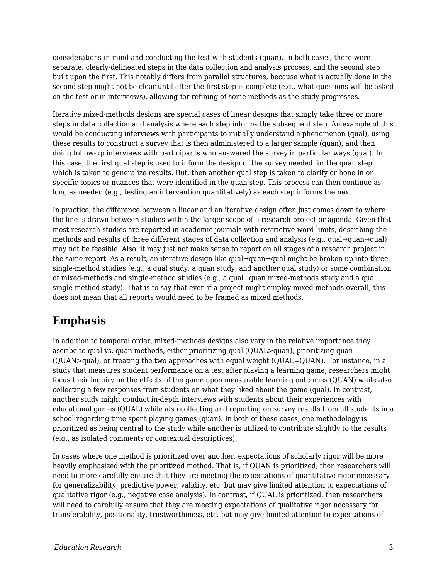considerations in mind and conducting the test with students (quan). In both cases, there were separate, clearly-delineated steps in the data collection and analysis process, and the second step built upon the first. This notably differs from parallel structures, because what is actually done in the second step might not be clear until after the first step is complete (e.g., what questions will be asked on the test or in interviews), allowing for refining of some methods as the study progresses.

Iterative mixed-methods designs are special cases of linear designs that simply take three or more steps in data collection and analysis where each step informs the subsequent step. An example of this would be conducting interviews with participants to initially understand a phenomenon (qual), using these results to construct a survey that is then administered to a larger sample (quan), and then doing follow-up interviews with participants who answered the survey in particular ways (qual). In this case, the first qual step is used to inform the design of the survey needed for the quan step, which is taken to generalize results. But, then another qual step is taken to clarify or hone in on specific topics or nuances that were identified in the quan step. This process can then continue as long as needed (e.g., testing an intervention quantitatively) as each step informs the next.

In practice, the difference between a linear and an iterative design often just comes down to where the line is drawn between studies within the larger scope of a research project or agenda. Given that most research studies are reported in academic journals with restrictive word limits, describing the methods and results of three different stages of data collection and analysis (e.g., qual→quan→qual) may not be feasible. Also, it may just not make sense to report on all stages of a research project in the same report. As a result, an iterative design like qual→quan→qual might be broken up into three single-method studies (e.g., a qual study, a quan study, and another qual study) or some combination of mixed-methods and single-method studies (e.g., a qual→quan mixed-methods study and a qual single-method study). That is to say that even if a project might employ mixed methods overall, this does not mean that all reports would need to be framed as mixed methods.

## **Emphasis**

In addition to temporal order, mixed-methods designs also vary in the relative importance they ascribe to qual vs. quan methods, either prioritizing qual (QUAL>quan), prioritizing quan  $(QUAN>qual)$ , or treating the two approaches with equal weight  $(QUAL=QUAN)$ . For instance, in a study that measures student performance on a test after playing a learning game, researchers might focus their inquiry on the effects of the game upon measurable learning outcomes (QUAN) while also collecting a few responses from students on what they liked about the game (qual). In contrast, another study might conduct in-depth interviews with students about their experiences with educational games (QUAL) while also collecting and reporting on survey results from all students in a school regarding time spent playing games (quan). In both of these cases, one methodology is prioritized as being central to the study while another is utilized to contribute slightly to the results (e.g., as isolated comments or contextual descriptives).

In cases where one method is prioritized over another, expectations of scholarly rigor will be more heavily emphasized with the prioritized method. That is, if QUAN is prioritized, then researchers will need to more carefully ensure that they are meeting the expectations of quantitative rigor necessary for generalizability, predictive power, validity, etc. but may give limited attention to expectations of qualitative rigor (e.g., negative case analysis). In contrast, if QUAL is prioritized, then researchers will need to carefully ensure that they are meeting expectations of qualitative rigor necessary for transferability, positionality, trustworthiness, etc. but may give limited attention to expectations of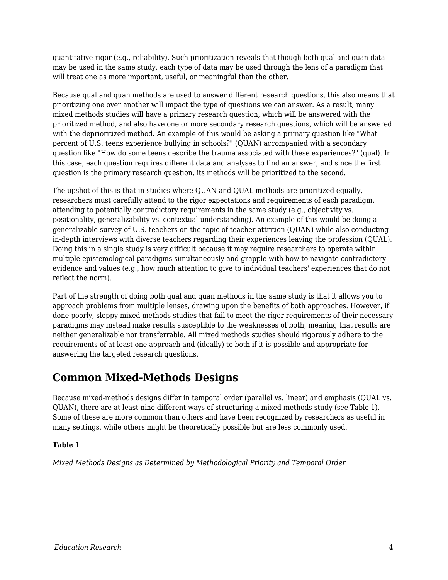quantitative rigor (e.g., reliability). Such prioritization reveals that though both qual and quan data may be used in the same study, each type of data may be used through the lens of a paradigm that will treat one as more important, useful, or meaningful than the other.

Because qual and quan methods are used to answer different research questions, this also means that prioritizing one over another will impact the type of questions we can answer. As a result, many mixed methods studies will have a primary research question, which will be answered with the prioritized method, and also have one or more secondary research questions, which will be answered with the deprioritized method. An example of this would be asking a primary question like "What percent of U.S. teens experience bullying in schools?" (QUAN) accompanied with a secondary question like "How do some teens describe the trauma associated with these experiences?" (qual). In this case, each question requires different data and analyses to find an answer, and since the first question is the primary research question, its methods will be prioritized to the second.

The upshot of this is that in studies where QUAN and QUAL methods are prioritized equally, researchers must carefully attend to the rigor expectations and requirements of each paradigm, attending to potentially contradictory requirements in the same study (e.g., objectivity vs. positionality, generalizability vs. contextual understanding). An example of this would be doing a generalizable survey of U.S. teachers on the topic of teacher attrition (QUAN) while also conducting in-depth interviews with diverse teachers regarding their experiences leaving the profession (QUAL). Doing this in a single study is very difficult because it may require researchers to operate within multiple epistemological paradigms simultaneously and grapple with how to navigate contradictory evidence and values (e.g., how much attention to give to individual teachers' experiences that do not reflect the norm).

Part of the strength of doing both qual and quan methods in the same study is that it allows you to approach problems from multiple lenses, drawing upon the benefits of both approaches. However, if done poorly, sloppy mixed methods studies that fail to meet the rigor requirements of their necessary paradigms may instead make results susceptible to the weaknesses of both, meaning that results are neither generalizable nor transferrable. All mixed methods studies should rigorously adhere to the requirements of at least one approach and (ideally) to both if it is possible and appropriate for answering the targeted research questions.

## **Common Mixed-Methods Designs**

Because mixed-methods designs differ in temporal order (parallel vs. linear) and emphasis (QUAL vs. QUAN), there are at least nine different ways of structuring a mixed-methods study (see Table 1). Some of these are more common than others and have been recognized by researchers as useful in many settings, while others might be theoretically possible but are less commonly used.

#### **Table 1**

*Mixed Methods Designs as Determined by Methodological Priority and Temporal Order*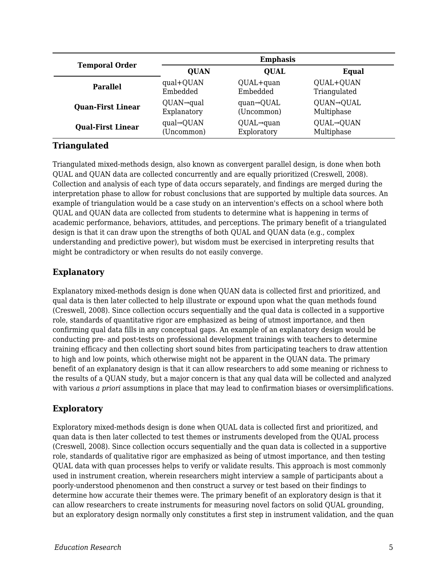| <b>Temporal Order</b>    | <b>Emphasis</b>         |                         |              |
|--------------------------|-------------------------|-------------------------|--------------|
|                          | <b>QUAN</b>             | <b>OUAL</b>             | Equal        |
| <b>Parallel</b>          | qual+QUAN               | QUAL+quan               | QUAL+QUAN    |
|                          | Embedded                | Embedded                | Triangulated |
| <b>Quan-First Linear</b> | $QUAN \rightarrow$ qual | $quan \rightarrow QUAL$ | QUAN→QUAL    |
|                          | Explanatory             | (Uncommon)              | Multiphase   |
| <b>Qual-First Linear</b> | $qual \rightarrow QUAN$ | $QUAL \rightarrow quan$ | QUAL→QUAN    |
|                          | (Uncommon)              | Exploratory             | Multiphase   |

#### **Triangulated**

Triangulated mixed-methods design, also known as convergent parallel design, is done when both QUAL and QUAN data are collected concurrently and are equally prioritized (Creswell, 2008). Collection and analysis of each type of data occurs separately, and findings are merged during the interpretation phase to allow for robust conclusions that are supported by multiple data sources. An example of triangulation would be a case study on an intervention's effects on a school where both QUAL and QUAN data are collected from students to determine what is happening in terms of academic performance, behaviors, attitudes, and perceptions. The primary benefit of a triangulated design is that it can draw upon the strengths of both QUAL and QUAN data (e.g., complex understanding and predictive power), but wisdom must be exercised in interpreting results that might be contradictory or when results do not easily converge.

#### **Explanatory**

Explanatory mixed-methods design is done when QUAN data is collected first and prioritized, and qual data is then later collected to help illustrate or expound upon what the quan methods found (Creswell, 2008). Since collection occurs sequentially and the qual data is collected in a supportive role, standards of quantitative rigor are emphasized as being of utmost importance, and then confirming qual data fills in any conceptual gaps. An example of an explanatory design would be conducting pre- and post-tests on professional development trainings with teachers to determine training efficacy and then collecting short sound bites from participating teachers to draw attention to high and low points, which otherwise might not be apparent in the QUAN data. The primary benefit of an explanatory design is that it can allow researchers to add some meaning or richness to the results of a QUAN study, but a major concern is that any qual data will be collected and analyzed with various *a priori* assumptions in place that may lead to confirmation biases or oversimplifications.

#### **Exploratory**

Exploratory mixed-methods design is done when QUAL data is collected first and prioritized, and quan data is then later collected to test themes or instruments developed from the QUAL process (Creswell, 2008). Since collection occurs sequentially and the quan data is collected in a supportive role, standards of qualitative rigor are emphasized as being of utmost importance, and then testing QUAL data with quan processes helps to verify or validate results. This approach is most commonly used in instrument creation, wherein researchers might interview a sample of participants about a poorly-understood phenomenon and then construct a survey or test based on their findings to determine how accurate their themes were. The primary benefit of an exploratory design is that it can allow researchers to create instruments for measuring novel factors on solid QUAL grounding, but an exploratory design normally only constitutes a first step in instrument validation, and the quan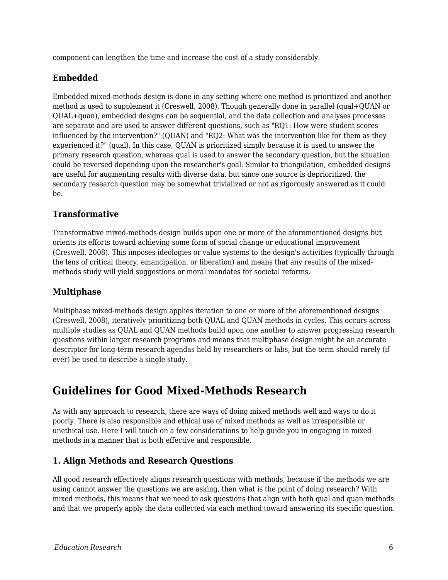component can lengthen the time and increase the cost of a study considerably.

#### **Embedded**

Embedded mixed-methods design is done in any setting where one method is prioritized and another method is used to supplement it (Creswell, 2008). Though generally done in parallel (qual+QUAN or QUAL+quan), embedded designs can be sequential, and the data collection and analyses processes are separate and are used to answer different questions, such as "RQ1: How were student scores influenced by the intervention?" (QUAN) and "RQ2: What was the intervention like for them as they experienced it?" (qual). In this case, QUAN is prioritized simply because it is used to answer the primary research question, whereas qual is used to answer the secondary question, but the situation could be reversed depending upon the researcher's goal. Similar to triangulation, embedded designs are useful for augmenting results with diverse data, but since one source is deprioritized, the secondary research question may be somewhat trivialized or not as rigorously answered as it could be.

#### **Transformative**

Transformative mixed-methods design builds upon one or more of the aforementioned designs but orients its efforts toward achieving some form of social change or educational improvement (Creswell, 2008). This imposes ideologies or value systems to the design's activities (typically through the lens of critical theory, emancipation, or liberation) and means that any results of the mixedmethods study will yield suggestions or moral mandates for societal reforms.

#### **Multiphase**

Multiphase mixed-methods design applies iteration to one or more of the aforementioned designs (Creswell, 2008), iteratively prioritizing both QUAL and QUAN methods in cycles. This occurs across multiple studies as QUAL and QUAN methods build upon one another to answer progressing research questions within larger research programs and means that multiphase design might be an accurate descriptor for long-term research agendas held by researchers or labs, but the term should rarely (if ever) be used to describe a single study.

### **Guidelines for Good Mixed-Methods Research**

As with any approach to research, there are ways of doing mixed methods well and ways to do it poorly. There is also responsible and ethical use of mixed methods as well as irresponsible or unethical use. Here I will touch on a few considerations to help guide you in engaging in mixed methods in a manner that is both effective and responsible.

#### **1. Align Methods and Research Questions**

All good research effectively aligns research questions with methods, because if the methods we are using cannot answer the questions we are asking, then what is the point of doing research? With mixed methods, this means that we need to ask questions that align with both qual and quan methods and that we properly apply the data collected via each method toward answering its specific question.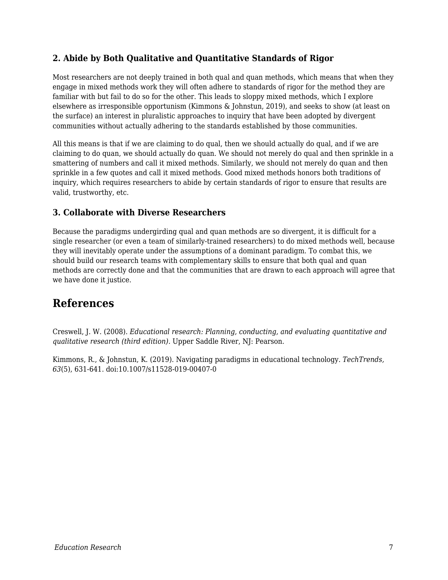#### **2. Abide by Both Qualitative and Quantitative Standards of Rigor**

Most researchers are not deeply trained in both qual and quan methods, which means that when they engage in mixed methods work they will often adhere to standards of rigor for the method they are familiar with but fail to do so for the other. This leads to sloppy mixed methods, which I explore elsewhere as irresponsible opportunism (Kimmons & Johnstun, 2019), and seeks to show (at least on the surface) an interest in pluralistic approaches to inquiry that have been adopted by divergent communities without actually adhering to the standards established by those communities.

All this means is that if we are claiming to do qual, then we should actually do qual, and if we are claiming to do quan, we should actually do quan. We should not merely do qual and then sprinkle in a smattering of numbers and call it mixed methods. Similarly, we should not merely do quan and then sprinkle in a few quotes and call it mixed methods. Good mixed methods honors both traditions of inquiry, which requires researchers to abide by certain standards of rigor to ensure that results are valid, trustworthy, etc.

#### **3. Collaborate with Diverse Researchers**

Because the paradigms undergirding qual and quan methods are so divergent, it is difficult for a single researcher (or even a team of similarly-trained researchers) to do mixed methods well, because they will inevitably operate under the assumptions of a dominant paradigm. To combat this, we should build our research teams with complementary skills to ensure that both qual and quan methods are correctly done and that the communities that are drawn to each approach will agree that we have done it justice.

### **References**

Creswell, J. W. (2008). *Educational research: Planning, conducting, and evaluating quantitative and qualitative research (third edition)*. Upper Saddle River, NJ: Pearson.

Kimmons, R., & Johnstun, K. (2019). Navigating paradigms in educational technology. *TechTrends, 63*(5), 631-641. doi:10.1007/s11528-019-00407-0